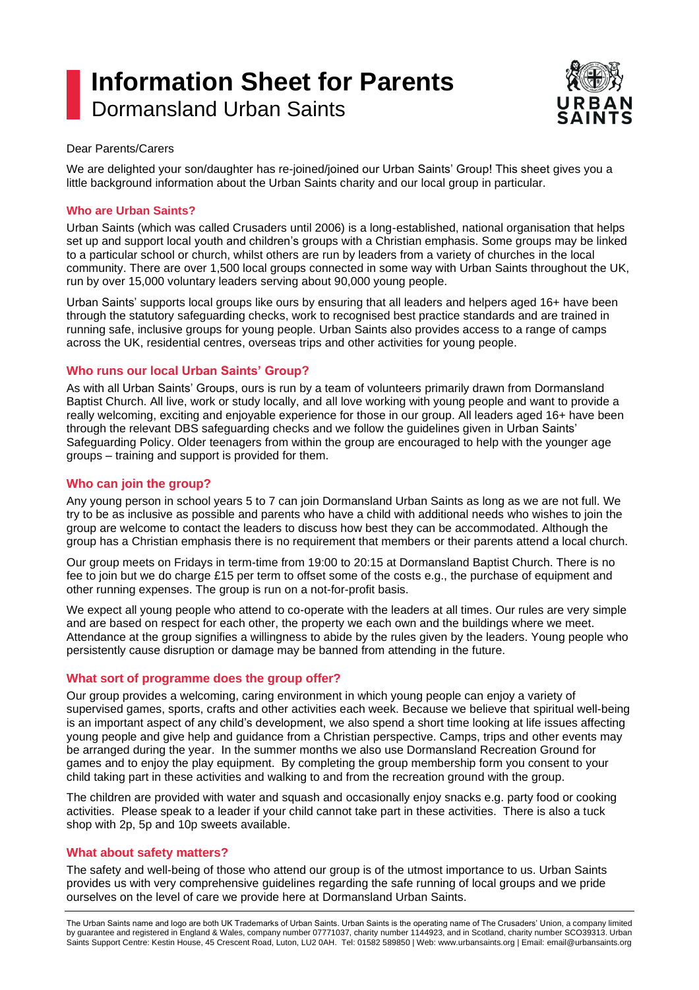# **Information Sheet for Parents** Dormansland Urban Saints



#### Dear Parents/Carers

We are delighted your son/daughter has re-joined/joined our Urban Saints' Group! This sheet gives you a little background information about the Urban Saints charity and our local group in particular.

## **Who are Urban Saints?**

Urban Saints (which was called Crusaders until 2006) is a long-established, national organisation that helps set up and support local youth and children's groups with a Christian emphasis. Some groups may be linked to a particular school or church, whilst others are run by leaders from a variety of churches in the local community. There are over 1,500 local groups connected in some way with Urban Saints throughout the UK, run by over 15,000 voluntary leaders serving about 90,000 young people.

Urban Saints' supports local groups like ours by ensuring that all leaders and helpers aged 16+ have been through the statutory safeguarding checks, work to recognised best practice standards and are trained in running safe, inclusive groups for young people. Urban Saints also provides access to a range of camps across the UK, residential centres, overseas trips and other activities for young people.

# **Who runs our local Urban Saints' Group?**

As with all Urban Saints' Groups, ours is run by a team of volunteers primarily drawn from Dormansland Baptist Church. All live, work or study locally, and all love working with young people and want to provide a really welcoming, exciting and enjoyable experience for those in our group. All leaders aged 16+ have been through the relevant DBS safeguarding checks and we follow the guidelines given in Urban Saints' Safeguarding Policy. Older teenagers from within the group are encouraged to help with the younger age groups – training and support is provided for them.

# **Who can join the group?**

Any young person in school years 5 to 7 can join Dormansland Urban Saints as long as we are not full. We try to be as inclusive as possible and parents who have a child with additional needs who wishes to join the group are welcome to contact the leaders to discuss how best they can be accommodated. Although the group has a Christian emphasis there is no requirement that members or their parents attend a local church.

Our group meets on Fridays in term-time from 19:00 to 20:15 at Dormansland Baptist Church. There is no fee to join but we do charge £15 per term to offset some of the costs e.g., the purchase of equipment and other running expenses. The group is run on a not-for-profit basis.

We expect all young people who attend to co-operate with the leaders at all times. Our rules are very simple and are based on respect for each other, the property we each own and the buildings where we meet. Attendance at the group signifies a willingness to abide by the rules given by the leaders. Young people who persistently cause disruption or damage may be banned from attending in the future.

## **What sort of programme does the group offer?**

Our group provides a welcoming, caring environment in which young people can enjoy a variety of supervised games, sports, crafts and other activities each week. Because we believe that spiritual well-being is an important aspect of any child's development, we also spend a short time looking at life issues affecting young people and give help and guidance from a Christian perspective. Camps, trips and other events may be arranged during the year. In the summer months we also use Dormansland Recreation Ground for games and to enjoy the play equipment. By completing the group membership form you consent to your child taking part in these activities and walking to and from the recreation ground with the group.

The children are provided with water and squash and occasionally enjoy snacks e.g. party food or cooking activities. Please speak to a leader if your child cannot take part in these activities. There is also a tuck shop with 2p, 5p and 10p sweets available.

## **What about safety matters?**

The safety and well-being of those who attend our group is of the utmost importance to us. Urban Saints provides us with very comprehensive guidelines regarding the safe running of local groups and we pride ourselves on the level of care we provide here at Dormansland Urban Saints.

The Urban Saints name and logo are both UK Trademarks of Urban Saints. Urban Saints is the operating name of The Crusaders' Union, a company limited by guarantee and registered in England & Wales, company number 07771037, charity number 1144923, and in Scotland, charity number SCO39313. Urban Saints Support Centre: Kestin House, 45 Crescent Road, Luton, LU2 0AH. Tel: 01582 589850 | Web: www.urbansaints.org | Email: email@urbansaints.org